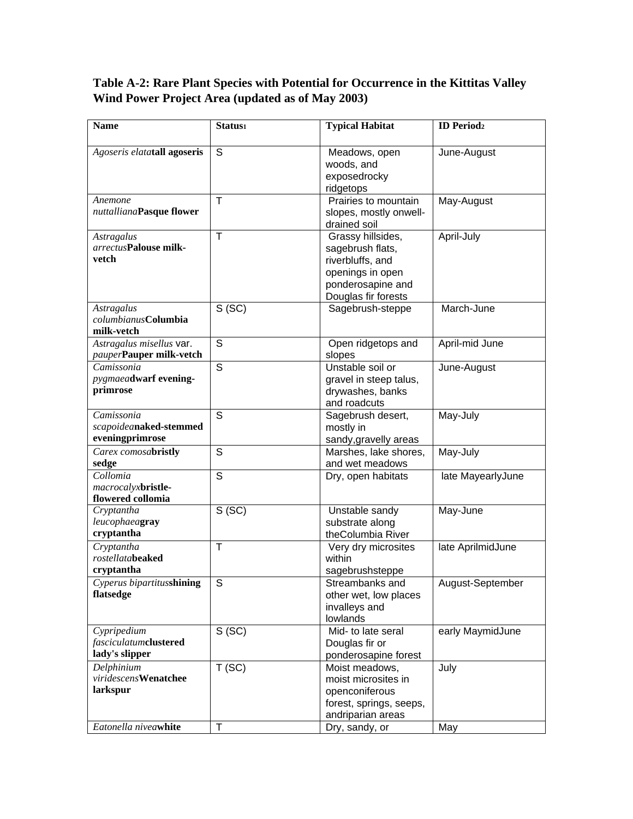## **Table A-2: Rare Plant Species with Potential for Occurrence in the Kittitas Valley Wind Power Project Area (updated as of May 2003)**

| <b>Name</b>                                         | Status <sub>1</sub> | <b>Typical Habitat</b>                | <b>ID</b> Period <sub>2</sub> |
|-----------------------------------------------------|---------------------|---------------------------------------|-------------------------------|
|                                                     |                     |                                       |                               |
| Agoseris elatatall agoseris                         | S                   | Meadows, open                         | June-August                   |
|                                                     |                     | woods, and                            |                               |
|                                                     |                     | exposedrocky                          |                               |
|                                                     | т                   | ridgetops<br>Prairies to mountain     |                               |
| Anemone<br>nuttallianaPasque flower                 |                     | slopes, mostly onwell-                | May-August                    |
|                                                     |                     | drained soil                          |                               |
| <b>Astragalus</b>                                   | Τ                   | Grassy hillsides,                     | April-July                    |
| arrectusPalouse milk-                               |                     | sagebrush flats,                      |                               |
| vetch                                               |                     | riverbluffs, and                      |                               |
|                                                     |                     | openings in open                      |                               |
|                                                     |                     | ponderosapine and                     |                               |
|                                                     |                     | Douglas fir forests                   |                               |
| <b>Astragalus</b>                                   | S(SC)               | Sagebrush-steppe                      | March-June                    |
| columbianusColumbia                                 |                     |                                       |                               |
| milk-vetch                                          | S                   |                                       |                               |
| Astragalus misellus var.<br>pauperPauper milk-vetch |                     | Open ridgetops and                    | April-mid June                |
| Camissonia                                          | S                   | slopes<br>Unstable soil or            | June-August                   |
| pygmaeadwarf evening-                               |                     | gravel in steep talus,                |                               |
| primrose                                            |                     | drywashes, banks                      |                               |
|                                                     |                     | and roadcuts                          |                               |
| Camissonia                                          | S                   | Sagebrush desert,                     | May-July                      |
| scapoideanaked-stemmed                              |                     | mostly in                             |                               |
| eveningprimrose                                     |                     | sandy, gravelly areas                 |                               |
| Carex comosabristly                                 | S                   | Marshes, lake shores,                 | May-July                      |
| sedge                                               |                     | and wet meadows                       |                               |
| Collomia                                            | S                   | Dry, open habitats                    | late MayearlyJune             |
| macrocalyxbristle-                                  |                     |                                       |                               |
| flowered collomia                                   |                     |                                       |                               |
| Cryptantha<br>leucophaeagray                        | S(SC)               | Unstable sandy<br>substrate along     | May-June                      |
| cryptantha                                          |                     | theColumbia River                     |                               |
| Cryptantha                                          | Т                   | Very dry microsites                   | late AprilmidJune             |
| <i>rostellatabeaked</i>                             |                     | within                                |                               |
| cryptantha                                          |                     | sagebrushsteppe                       |                               |
| Cyperus bipartitusshining                           | S                   | Streambanks and                       | August-September              |
| flatsedge                                           |                     | other wet, low places                 |                               |
|                                                     |                     | invalleys and                         |                               |
|                                                     |                     | lowlands                              |                               |
| Cypripedium                                         | S(SC)               | Mid- to late seral                    | early MaymidJune              |
| fasciculatumclustered                               |                     | Douglas fir or                        |                               |
| lady's slipper                                      |                     | ponderosapine forest                  |                               |
| Delphinium<br>viridescensWenatchee                  | T(SC)               | Moist meadows,                        | July                          |
| larkspur                                            |                     | moist microsites in<br>openconiferous |                               |
|                                                     |                     | forest, springs, seeps,               |                               |
|                                                     |                     | andriparian areas                     |                               |
| Eatonella niveawhite                                | T                   | Dry, sandy, or                        | May                           |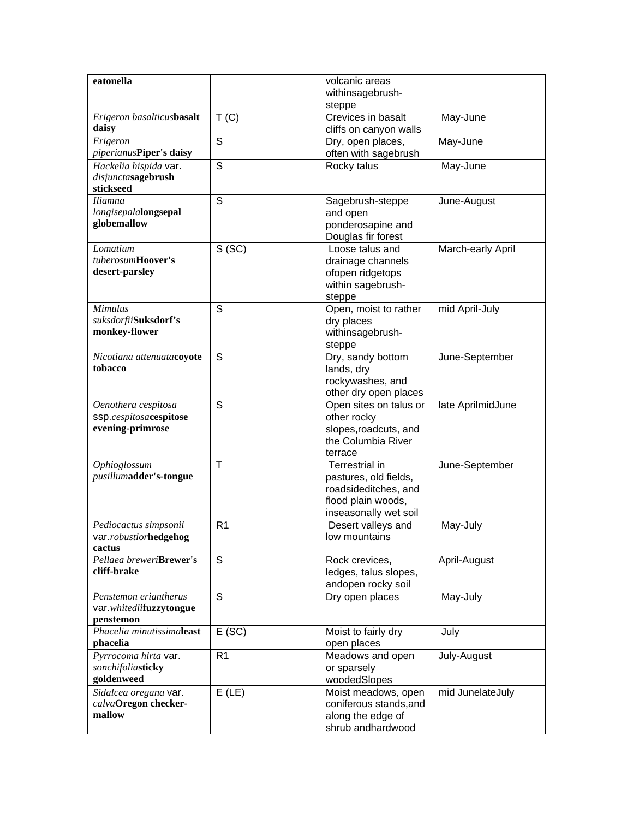| eatonella                                     |                | volcanic areas                             |                   |
|-----------------------------------------------|----------------|--------------------------------------------|-------------------|
|                                               |                | withinsagebrush-                           |                   |
| Erigeron basalticusbasalt                     | T(C)           | steppe<br>Crevices in basalt               | May-June          |
| daisy                                         |                | cliffs on canyon walls                     |                   |
| Erigeron                                      | $\overline{s}$ | Dry, open places,                          | May-June          |
| piperianusPiper's daisy                       |                | often with sagebrush                       |                   |
| Hackelia hispida var.                         | S              | Rocky talus                                | May-June          |
| disjunctasagebrush<br>stickseed               |                |                                            |                   |
| <b>Iliamna</b>                                | S              | Sagebrush-steppe                           | June-August       |
| longisepalalongsepal                          |                | and open                                   |                   |
| globemallow                                   |                | ponderosapine and                          |                   |
|                                               |                | Douglas fir forest                         |                   |
| Lomatium<br>tuberosumHoover's                 | S(SC)          | Loose talus and<br>drainage channels       | March-early April |
| desert-parsley                                |                | ofopen ridgetops                           |                   |
|                                               |                | within sagebrush-                          |                   |
|                                               |                | steppe                                     |                   |
| <b>Mimulus</b>                                | S              | Open, moist to rather                      | mid April-July    |
| suksdorfii <b>Suksdorf's</b><br>monkey-flower |                | dry places                                 |                   |
|                                               |                | withinsagebrush-<br>steppe                 |                   |
| Nicotiana attenuatacoyote                     | S              | Dry, sandy bottom                          | June-September    |
| tobacco                                       |                | lands, dry                                 |                   |
|                                               |                | rockywashes, and                           |                   |
|                                               |                | other dry open places                      |                   |
| Oenothera cespitosa<br>ssp.cespitosacespitose | S              | Open sites on talus or                     | late AprilmidJune |
| evening-primrose                              |                | other rocky<br>slopes, roadcuts, and       |                   |
|                                               |                | the Columbia River                         |                   |
|                                               |                | terrace                                    |                   |
| Ophioglossum                                  | T              | Terrestrial in                             | June-September    |
| pusillumadder's-tongue                        |                | pastures, old fields,                      |                   |
|                                               |                | roadsideditches, and<br>flood plain woods, |                   |
|                                               |                | inseasonally wet soil                      |                   |
| Pediocactus simpsonii                         | R <sub>1</sub> | Desert valleys and                         | May-July          |
| var.robustiorhedgehog                         |                | low mountains                              |                   |
| cactus                                        |                |                                            |                   |
| Pellaea breweriBrewer's<br>cliff-brake        | S              | Rock crevices,<br>ledges, talus slopes,    | April-August      |
|                                               |                | andopen rocky soil                         |                   |
| Penstemon eriantherus                         | S              | Dry open places                            | May-July          |
| var.whitediifuzzytongue                       |                |                                            |                   |
| penstemon                                     |                |                                            |                   |
| Phacelia minutissimaleast<br>phacelia         | E(SC)          | Moist to fairly dry<br>open places         | July              |
| Pyrrocoma hirta var.                          | R <sub>1</sub> | Meadows and open                           | July-August       |
| sonchifoliasticky                             |                | or sparsely                                |                   |
| goldenweed                                    |                | woodedSlopes                               |                   |
| Sidalcea oregana var.                         | $E$ (LE)       | Moist meadows, open                        | mid JunelateJuly  |
| calvaOregon checker-                          |                | coniferous stands, and                     |                   |
| mallow                                        |                | along the edge of<br>shrub andhardwood     |                   |
|                                               |                |                                            |                   |